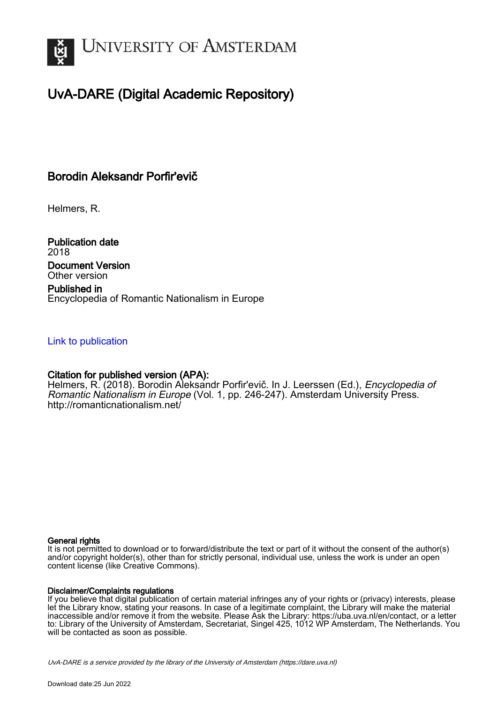

# UvA-DARE (Digital Academic Repository)

## Borodin Aleksandr Porfir'evič

Helmers, R.

Publication date 2018 Document Version Other version

Published in Encyclopedia of Romantic Nationalism in Europe

## [Link to publication](https://dare.uva.nl/personal/pure/en/publications/borodin-aleksandr-porfirevi(15d7c2ac-a905-4502-974f-b4f2c80e4292).html)

## Citation for published version (APA):

Helmers, R. (2018). Borodin Aleksandr Porfir'evič. In J. Leerssen (Ed.), Encyclopedia of Romantic Nationalism in Europe (Vol. 1, pp. 246-247). Amsterdam University Press. <http://romanticnationalism.net/>

#### General rights

It is not permitted to download or to forward/distribute the text or part of it without the consent of the author(s) and/or copyright holder(s), other than for strictly personal, individual use, unless the work is under an open content license (like Creative Commons).

#### Disclaimer/Complaints regulations

If you believe that digital publication of certain material infringes any of your rights or (privacy) interests, please let the Library know, stating your reasons. In case of a legitimate complaint, the Library will make the material inaccessible and/or remove it from the website. Please Ask the Library: https://uba.uva.nl/en/contact, or a letter to: Library of the University of Amsterdam, Secretariat, Singel 425, 1012 WP Amsterdam, The Netherlands. You will be contacted as soon as possible.

UvA-DARE is a service provided by the library of the University of Amsterdam (http*s*://dare.uva.nl)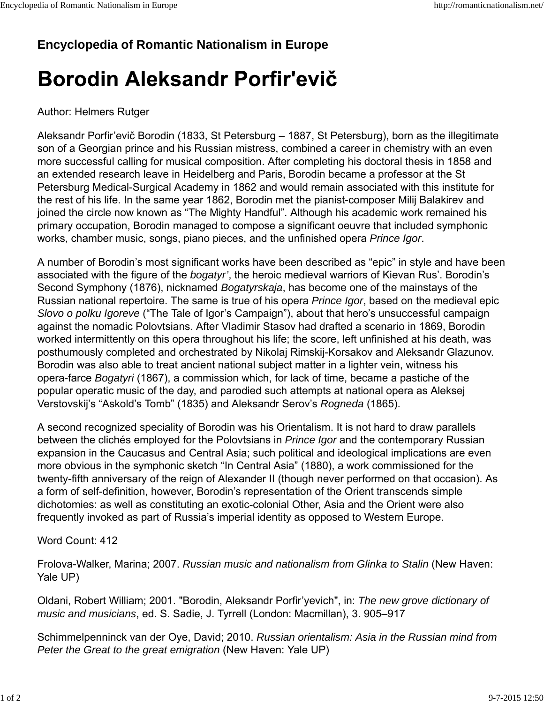# **Encyclopedia of Romantic Nationalism in Europe**

# Borodin Aleksandr Porfir'evič

## Author: Helmers Rutger

Aleksandr Porfir'evič Borodin (1833, St Petersburg – 1887, St Petersburg), born as the illegitimate son of a Georgian prince and his Russian mistress, combined a career in chemistry with an even more successful calling for musical composition. After completing his doctoral thesis in 1858 and an extended research leave in Heidelberg and Paris, Borodin became a professor at the St Petersburg Medical-Surgical Academy in 1862 and would remain associated with this institute for the rest of his life. In the same year 1862, Borodin met the pianist-composer Milij Balakirev and joined the circle now known as "The Mighty Handful". Although his academic work remained his primary occupation, Borodin managed to compose a significant oeuvre that included symphonic works, chamber music, songs, piano pieces, and the unfinished opera *Prince Igor*.

A number of Borodin's most significant works have been described as "epic" in style and have been associated with the figure of the *bogatyr'*, the heroic medieval warriors of Kievan Rus'. Borodin's Second Symphony (1876), nicknamed *Bogatyrskaja*, has become one of the mainstays of the Russian national repertoire. The same is true of his opera *Prince Igor*, based on the medieval epic *Slovo o polku Igoreve* ("The Tale of Igor's Campaign"), about that hero's unsuccessful campaign against the nomadic Polovtsians. After Vladimir Stasov had drafted a scenario in 1869, Borodin worked intermittently on this opera throughout his life; the score, left unfinished at his death, was posthumously completed and orchestrated by Nikolaj Rimskij-Korsakov and Aleksandr Glazunov. Borodin was also able to treat ancient national subject matter in a lighter vein, witness his opera-farce *Bogatyri* (1867), a commission which, for lack of time, became a pastiche of the popular operatic music of the day, and parodied such attempts at national opera as Aleksej Verstovskij's "Askold's Tomb" (1835) and Aleksandr Serov's *Rogneda* (1865).

A second recognized speciality of Borodin was his Orientalism. It is not hard to draw parallels between the clichés employed for the Polovtsians in *Prince Igor* and the contemporary Russian expansion in the Caucasus and Central Asia; such political and ideological implications are even more obvious in the symphonic sketch "In Central Asia" (1880), a work commissioned for the twenty-fifth anniversary of the reign of Alexander II (though never performed on that occasion). As a form of self-definition, however, Borodin's representation of the Orient transcends simple dichotomies: as well as constituting an exotic-colonial Other, Asia and the Orient were also frequently invoked as part of Russia's imperial identity as opposed to Western Europe.

Word Count: 412

Frolova-Walker, Marina; 2007. *Russian music and nationalism from Glinka to Stalin* (New Haven: Yale UP)

Oldani, Robert William; 2001. "Borodin, Aleksandr Porfir'yevich", in: *The new grove dictionary of music and musicians*, ed. S. Sadie, J. Tyrrell (London: Macmillan), 3. 905–917

Schimmelpenninck van der Oye, David; 2010. *Russian orientalism: Asia in the Russian mind from Peter the Great to the great emigration* (New Haven: Yale UP)